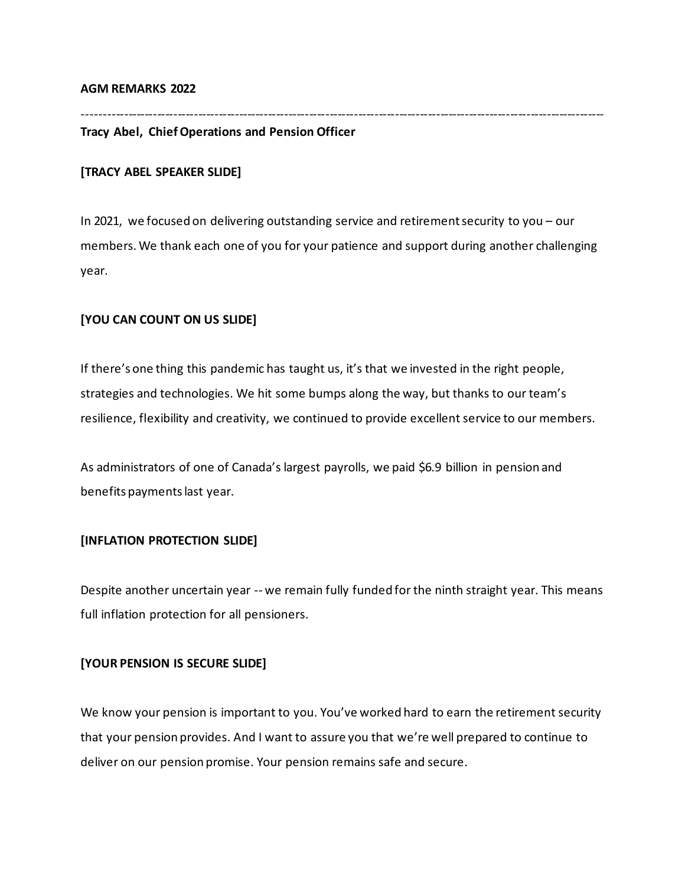#### **AGM REMARKS 2022**

-------------------------------------------------------------------------------------------------------------------------------

### **Tracy Abel, ChiefOperations and Pension Officer**

#### **[TRACY ABEL SPEAKER SLIDE]**

In 2021, we focused on delivering outstanding service and retirementsecurity to you – our members. We thank each one of you for your patience and support during another challenging year.

#### **[YOU CAN COUNT ON US SLIDE]**

If there's one thing this pandemic has taught us, it's that we invested in the right people, strategies and technologies. We hit some bumps along the way, but thanks to our team's resilience, flexibility and creativity, we continued to provide excellent service to our members.

As administrators of one of Canada's largest payrolls, we paid \$6.9 billion in pension and benefits paymentslast year.

#### **[INFLATION PROTECTION SLIDE]**

Despite another uncertain year -- we remain fully funded for the ninth straight year. This means full inflation protection for all pensioners.

#### **[YOUR PENSION IS SECURE SLIDE]**

We know your pension is important to you. You've worked hard to earn the retirement security that your pension provides. And I want to assure you that we're well prepared to continue to deliver on our pension promise. Your pension remains safe and secure.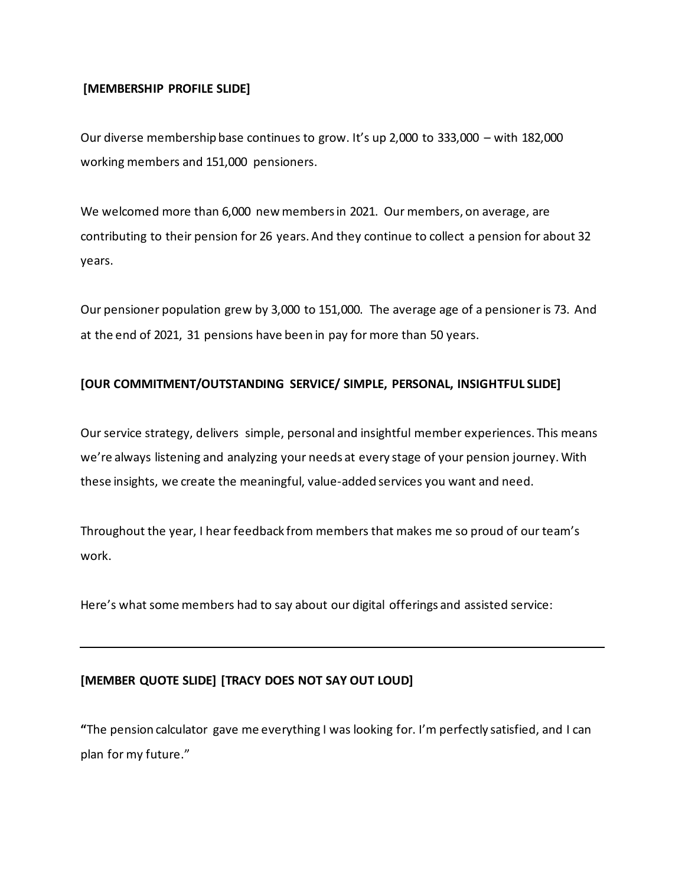### **[MEMBERSHIP PROFILE SLIDE]**

Our diverse membership base continues to grow. It's up 2,000 to 333,000 – with 182,000 working members and 151,000 pensioners.

We welcomed more than 6,000 new members in 2021. Our members, on average, are contributing to their pension for 26 years. And they continue to collect a pension for about 32 years.

Our pensioner population grew by 3,000 to 151,000. The average age of a pensioner is 73. And at the end of 2021, 31 pensions have been in pay for more than 50 years.

### **[OUR COMMITMENT/OUTSTANDING SERVICE/ SIMPLE, PERSONAL, INSIGHTFUL SLIDE]**

Our service strategy, delivers simple, personal and insightful member experiences. This means we're always listening and analyzing your needs at every stage of your pension journey. With these insights, we create the meaningful, value-added services you want and need.

Throughout the year, I hear feedback from members that makes me so proud of our team's work.

Here's what some members had to say about our digital offerings and assisted service:

### **[MEMBER QUOTE SLIDE] [TRACY DOES NOT SAY OUT LOUD]**

**"**The pension calculator gave me everything I was looking for. I'm perfectly satisfied, and I can plan for my future."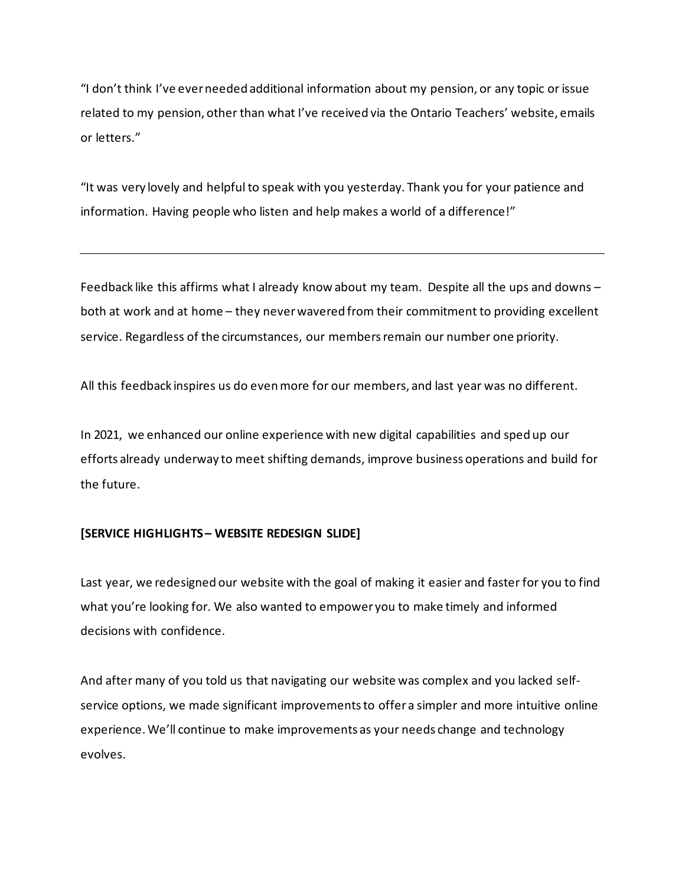"I don't think I've ever needed additional information about my pension, or any topic or issue related to my pension, other than what I've received via the Ontario Teachers' website, emails or letters."

"It was very lovely and helpful to speak with you yesterday. Thank you for your patience and information. Having people who listen and help makes a world of a difference!"

Feedback like this affirms what I already know about my team. Despite all the ups and downs – both at work and at home – they never wavered from their commitment to providing excellent service. Regardless of the circumstances, our members remain our number one priority.

All this feedback inspires us do even more for our members, and last year was no different.

In 2021, we enhanced our online experience with new digital capabilities and sped up our efforts already underway to meet shifting demands, improve business operations and build for the future.

#### **[SERVICE HIGHLIGHTS – WEBSITE REDESIGN SLIDE]**

Last year, we redesigned our website with the goal of making it easier and faster for you to find what you're looking for. We also wanted to empower you to make timely and informed decisions with confidence.

And after many of you told us that navigating our website was complex and you lacked selfservice options, we made significant improvements to offer a simpler and more intuitive online experience. We'll continue to make improvements as your needs change and technology evolves.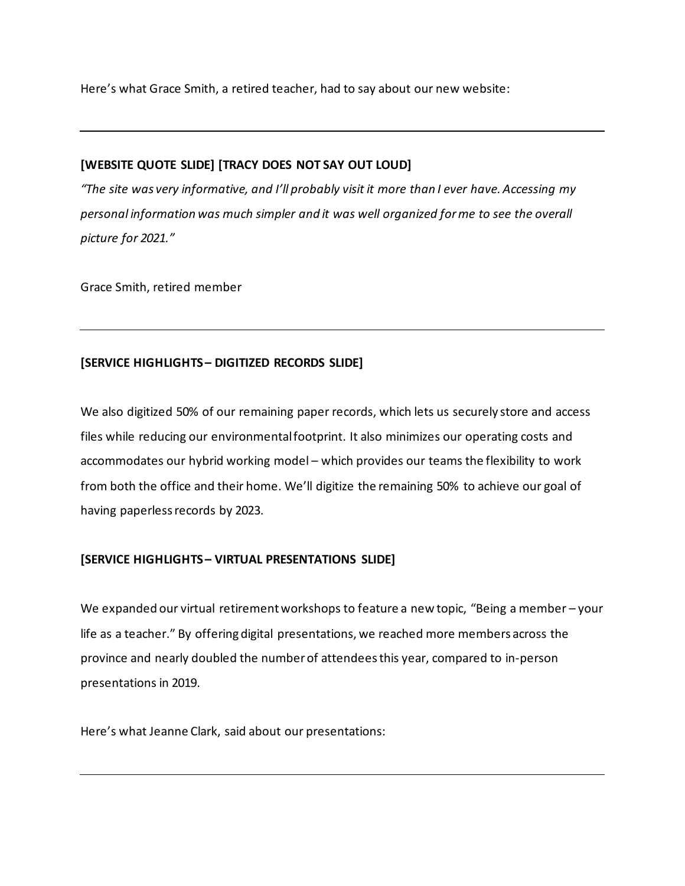Here's what Grace Smith, a retired teacher, had to say about our new website:

## **[WEBSITE QUOTE SLIDE] [TRACY DOES NOT SAY OUT LOUD]**

*"The site was very informative, and I'll probably visit it more than I ever have. Accessing my personal information was much simpler and it was well organized for me to see the overall picture for 2021."*

Grace Smith, retired member

## **[SERVICE HIGHLIGHTS – DIGITIZED RECORDS SLIDE]**

We also digitized 50% of our remaining paper records, which lets us securely store and access files while reducing our environmental footprint. It also minimizes our operating costs and accommodates our hybrid working model – which provides our teams the flexibility to work from both the office and their home. We'll digitize the remaining 50% to achieve our goal of having paperless records by 2023.

## **[SERVICE HIGHLIGHTS – VIRTUAL PRESENTATIONS SLIDE]**

We expanded our virtual retirement workshops to feature a new topic, "Being a member – your life as a teacher." By offering digital presentations, we reached more members across the province and nearly doubled the number of attendees this year, compared to in-person presentations in 2019.

Here's what Jeanne Clark, said about our presentations: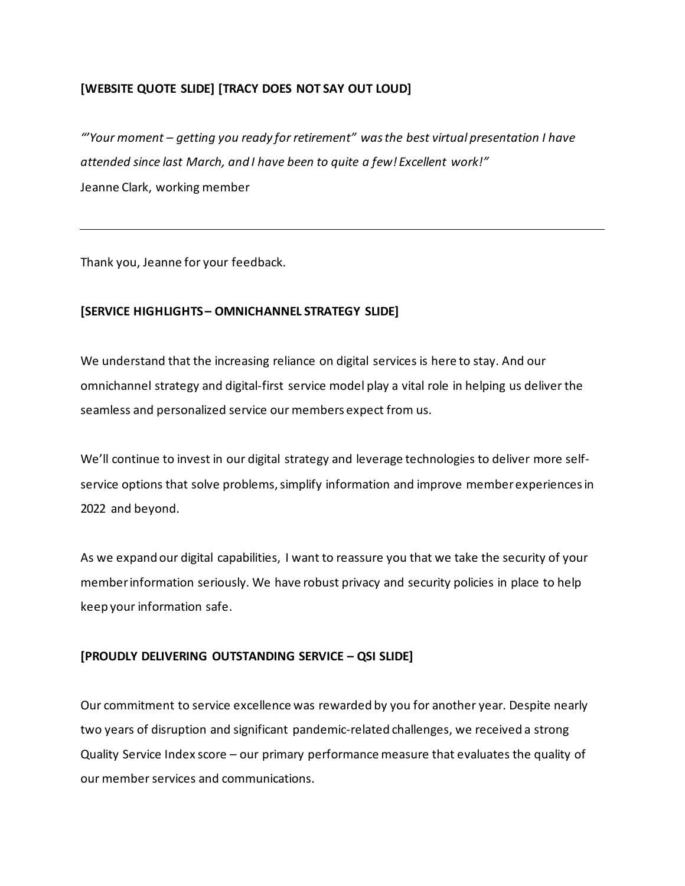## **[WEBSITE QUOTE SLIDE] [TRACY DOES NOT SAY OUT LOUD]**

*"'Your moment – getting you ready for retirement" was the best virtual presentation I have attended since last March, and I have been to quite a few! Excellent work!"* Jeanne Clark, working member

Thank you, Jeanne for your feedback.

#### **[SERVICE HIGHLIGHTS – OMNICHANNEL STRATEGY SLIDE]**

We understand that the increasing reliance on digital services is here to stay. And our omnichannel strategy and digital-first service model play a vital role in helping us deliver the seamless and personalized service our members expect from us.

We'll continue to invest in our digital strategy and leverage technologies to deliver more selfservice options that solve problems, simplify information and improve member experiences in 2022 and beyond.

As we expand our digital capabilities, I want to reassure you that we take the security of your member information seriously. We have robust privacy and security policies in place to help keep your information safe.

#### **[PROUDLY DELIVERING OUTSTANDING SERVICE – QSI SLIDE]**

Our commitment to service excellence was rewarded by you for another year. Despite nearly two years of disruption and significant pandemic-related challenges, we received a strong Quality Service Index score – our primary performance measure that evaluates the quality of our member services and communications.